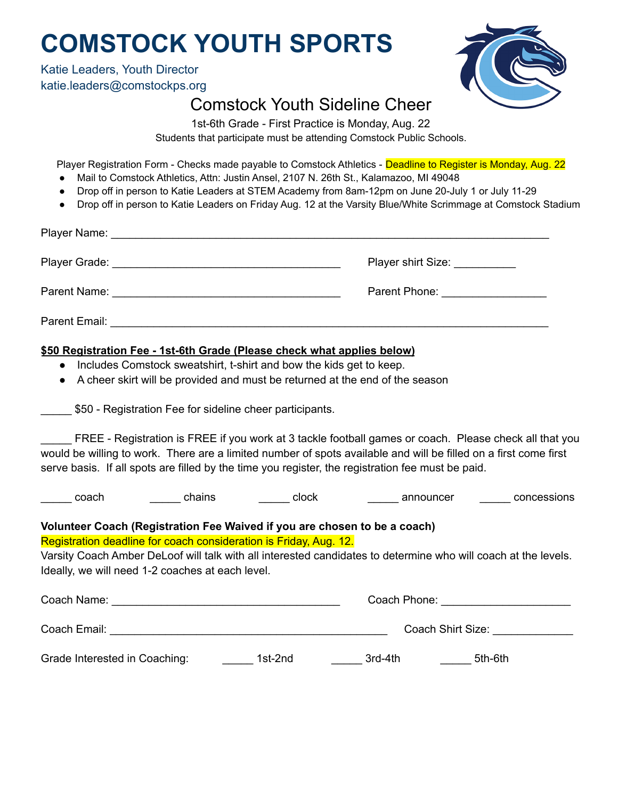## **COMSTOCK YOUTH SPORTS**

Katie Leaders, Youth Director katie.leaders@comstockps.org



## Comstock Youth Sideline Cheer

1st-6th Grade - First Practice is Monday, Aug. 22 Students that participate must be attending Comstock Public Schools.

Player Registration Form - Checks made payable to Comstock Athletics - Deadline to Register is Monday, Aug. 22

- Mail to Comstock Athletics, Attn: Justin Ansel, 2107 N. 26th St., Kalamazoo, MI 49048
- Drop off in person to Katie Leaders at STEM Academy from 8am-12pm on June 20-July 1 or July 11-29
- Drop off in person to Katie Leaders on Friday Aug. 12 at the Varsity Blue/White Scrimmage at Comstock Stadium

|                                                                                                                                                                                                                                                                                                                                 | Player shirt Size: __________   |  |  |  |
|---------------------------------------------------------------------------------------------------------------------------------------------------------------------------------------------------------------------------------------------------------------------------------------------------------------------------------|---------------------------------|--|--|--|
|                                                                                                                                                                                                                                                                                                                                 | Parent Phone: _________________ |  |  |  |
|                                                                                                                                                                                                                                                                                                                                 |                                 |  |  |  |
| \$50 Registration Fee - 1st-6th Grade (Please check what applies below)<br>• Includes Comstock sweatshirt, t-shirt and bow the kids get to keep.<br>• A cheer skirt will be provided and must be returned at the end of the season<br>_______ \$50 - Registration Fee for sideline cheer participants.                          |                                 |  |  |  |
| FREE - Registration is FREE if you work at 3 tackle football games or coach. Please check all that you<br>would be willing to work. There are a limited number of spots available and will be filled on a first come first<br>serve basis. If all spots are filled by the time you register, the registration fee must be paid. |                                 |  |  |  |
| ______ chains ________ clock ________ announcer ______ concessions<br>______ coach                                                                                                                                                                                                                                              |                                 |  |  |  |
| Volunteer Coach (Registration Fee Waived if you are chosen to be a coach)<br>Registration deadline for coach consideration is Friday, Aug. 12.<br>Varsity Coach Amber DeLoof will talk with all interested candidates to determine who will coach at the levels.<br>Ideally, we will need 1-2 coaches at each level.            |                                 |  |  |  |

| Coach Name:                   |         | Coach Phone: |                   |
|-------------------------------|---------|--------------|-------------------|
| Coach Email:                  |         |              | Coach Shirt Size: |
| Grade Interested in Coaching: | 1st-2nd | 3rd-4th      | 5th-6th           |